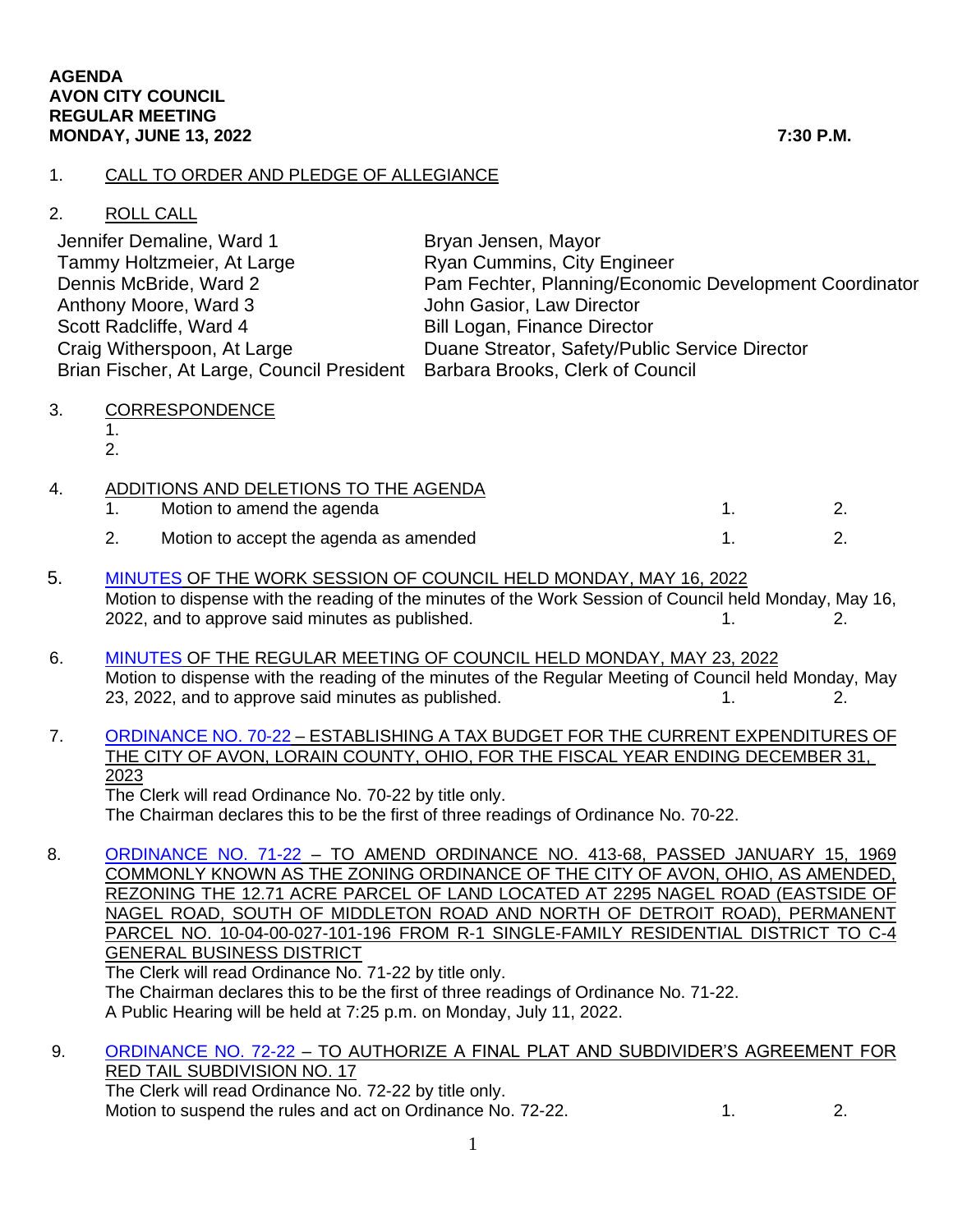### 1. CALL TO ORDER AND PLEDGE OF ALLEGIANCE

## 2. ROLL CALL

| Jennifer Demaline, Ward 1                                                   | Bryan Jensen, Mayor                                    |
|-----------------------------------------------------------------------------|--------------------------------------------------------|
| Tammy Holtzmeier, At Large                                                  | Ryan Cummins, City Engineer                            |
| Dennis McBride, Ward 2                                                      | Pam Fechter, Planning/Economic Development Coordinator |
| Anthony Moore, Ward 3                                                       | John Gasior, Law Director                              |
| Scott Radcliffe, Ward 4                                                     | <b>Bill Logan, Finance Director</b>                    |
| Craig Witherspoon, At Large                                                 | Duane Streator, Safety/Public Service Director         |
| Brian Fischer, At Large, Council President Barbara Brooks, Clerk of Council |                                                        |

- 3. CORRESPONDENCE
	- 1. 2.

|  |  | ADDITIONS AND DELETIONS TO THE AGENDA  |  |
|--|--|----------------------------------------|--|
|  |  | Motion to amend the agenda             |  |
|  |  | Motion to accept the agenda as amended |  |

- 5. [MINUTES](https://www.cityofavon.com/AgendaCenter/ViewFile/Minutes/_05162022-1103) OF THE WORK SESSION OF COUNCIL HELD MONDAY, MAY 16, 2022 Motion to dispense with the reading of the minutes of the Work Session of Council held Monday, May 16, 2022, and to approve said minutes as published. 1. 2. 2.
- 6. [MINUTES](https://www.cityofavon.com/AgendaCenter/ViewFile/Minutes/_05232022-1106) OF THE REGULAR MEETING OF COUNCIL HELD MONDAY, MAY 23, 2022 Motion to dispense with the reading of the minutes of the Regular Meeting of Council held Monday, May 23, 2022, and to approve said minutes as published. 1. 2. 2.
- 7. [ORDINANCE NO. 70-22](https://www.cityofavon.com/DocumentCenter/View/7865/Ordinance-No-70-22---Tax-Budget-for-2023) ESTABLISHING A TAX BUDGET FOR THE CURRENT EXPENDITURES OF THE CITY OF AVON, LORAIN COUNTY, OHIO, FOR THE FISCAL YEAR ENDING DECEMBER 31, 2023 The Clerk will read Ordinance No. 70-22 by title only.

The Chairman declares this to be the first of three readings of Ordinance No. 70-22.

8. [ORDINANCE NO. 71-22](https://www.cityofavon.com/DocumentCenter/View/7875/Ordinance-No-71-22----Rezoning---Isomer---Drug-Mart) - TO AMEND ORDINANCE NO. 413-68, PASSED JANUARY 15, 1969 COMMONLY KNOWN AS THE ZONING ORDINANCE OF THE CITY OF AVON, OHIO, AS AMENDED, REZONING THE 12.71 ACRE PARCEL OF LAND LOCATED AT 2295 NAGEL ROAD (EASTSIDE OF NAGEL ROAD, SOUTH OF MIDDLETON ROAD AND NORTH OF DETROIT ROAD), PERMANENT PARCEL NO. 10-04-00-027-101-196 FROM R-1 SINGLE-FAMILY RESIDENTIAL DISTRICT TO C-4 GENERAL BUSINESS DISTRICT

The Clerk will read Ordinance No. 71-22 by title only. The Chairman declares this to be the first of three readings of Ordinance No. 71-22. A Public Hearing will be held at 7:25 p.m. on Monday, July 11, 2022.

# 9. [ORDINANCE NO. 72-22](https://www.cityofavon.com/DocumentCenter/View/7868/Ordinance-No-72-22-Red-Tail-No-17---SDA--PB) – TO AUTHORIZE A FINAL PLAT AND SUBDIVIDER'S AGREEMENT FOR RED TAIL SUBDIVISION NO. 17

The Clerk will read Ordinance No. 72-22 by title only. Motion to suspend the rules and act on Ordinance No. 72-22. 1. 2.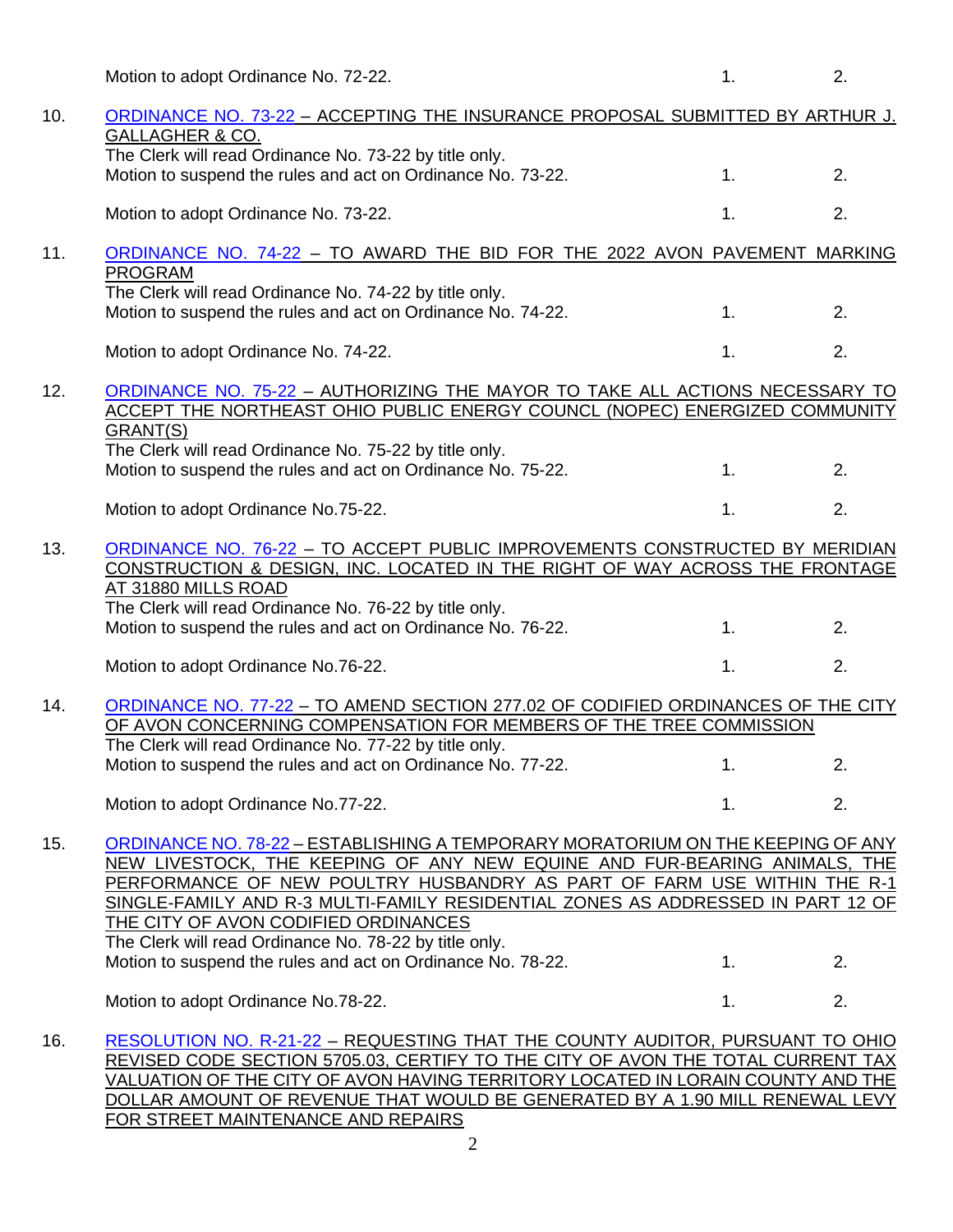|     | Motion to adopt Ordinance No. 72-22.                                                                                                                                                                                                                                                                                                                               | 1. | 2. |
|-----|--------------------------------------------------------------------------------------------------------------------------------------------------------------------------------------------------------------------------------------------------------------------------------------------------------------------------------------------------------------------|----|----|
| 10. | ORDINANCE NO. 73-22 - ACCEPTING THE INSURANCE PROPOSAL SUBMITTED BY ARTHUR J.<br>GALLAGHER & CO.<br>The Clerk will read Ordinance No. 73-22 by title only.                                                                                                                                                                                                         |    |    |
|     | Motion to suspend the rules and act on Ordinance No. 73-22.                                                                                                                                                                                                                                                                                                        | 1. | 2. |
|     | Motion to adopt Ordinance No. 73-22.                                                                                                                                                                                                                                                                                                                               | 1. | 2. |
| 11. | ORDINANCE NO. 74-22 - TO AWARD THE BID FOR THE 2022 AVON PAVEMENT MARKING<br><b>PROGRAM</b>                                                                                                                                                                                                                                                                        |    |    |
|     | The Clerk will read Ordinance No. 74-22 by title only.<br>Motion to suspend the rules and act on Ordinance No. 74-22.                                                                                                                                                                                                                                              | 1. | 2. |
|     | Motion to adopt Ordinance No. 74-22.                                                                                                                                                                                                                                                                                                                               | 1. | 2. |
| 12. | ORDINANCE NO. 75-22 - AUTHORIZING THE MAYOR TO TAKE ALL ACTIONS NECESSARY TO<br>ACCEPT THE NORTHEAST OHIO PUBLIC ENERGY COUNCL (NOPEC) ENERGIZED COMMUNITY                                                                                                                                                                                                         |    |    |
|     | GRANT(S)<br>The Clerk will read Ordinance No. 75-22 by title only.                                                                                                                                                                                                                                                                                                 |    |    |
|     | Motion to suspend the rules and act on Ordinance No. 75-22.                                                                                                                                                                                                                                                                                                        | 1. | 2. |
|     | Motion to adopt Ordinance No.75-22.                                                                                                                                                                                                                                                                                                                                | 1. | 2. |
| 13. | ORDINANCE NO. 76-22 - TO ACCEPT PUBLIC IMPROVEMENTS CONSTRUCTED BY MERIDIAN<br>CONSTRUCTION & DESIGN, INC. LOCATED IN THE RIGHT OF WAY ACROSS THE FRONTAGE<br>AT 31880 MILLS ROAD                                                                                                                                                                                  |    |    |
|     | The Clerk will read Ordinance No. 76-22 by title only.<br>Motion to suspend the rules and act on Ordinance No. 76-22.                                                                                                                                                                                                                                              | 1. | 2. |
|     | Motion to adopt Ordinance No.76-22.                                                                                                                                                                                                                                                                                                                                | 1. | 2. |
| 14. | ORDINANCE NO. 77-22 - TO AMEND SECTION 277.02 OF CODIFIED ORDINANCES OF THE CITY<br>OF AVON CONCERNING COMPENSATION FOR MEMBERS OF THE TREE COMMISSION                                                                                                                                                                                                             |    |    |
|     | The Clerk will read Ordinance No. 77-22 by title only.<br>Motion to suspend the rules and act on Ordinance No. 77-22.                                                                                                                                                                                                                                              | 1. | 2. |
|     | Motion to adopt Ordinance No.77-22.                                                                                                                                                                                                                                                                                                                                | 1. | 2. |
| 15. | ORDINANCE NO. 78-22 - ESTABLISHING A TEMPORARY MORATORIUM ON THE KEEPING OF ANY<br>NEW LIVESTOCK, THE KEEPING OF ANY NEW EQUINE AND FUR-BEARING ANIMALS, THE<br>PERFORMANCE OF NEW POULTRY HUSBANDRY AS PART OF FARM USE WITHIN THE R-1<br>SINGLE-FAMILY AND R-3 MULTI-FAMILY RESIDENTIAL ZONES AS ADDRESSED IN PART 12 OF<br>THE CITY OF AVON CODIFIED ORDINANCES |    |    |
|     | The Clerk will read Ordinance No. 78-22 by title only.<br>Motion to suspend the rules and act on Ordinance No. 78-22.                                                                                                                                                                                                                                              | 1. | 2. |
|     | Motion to adopt Ordinance No.78-22.                                                                                                                                                                                                                                                                                                                                | 1. | 2. |
| 16. | RESOLUTION NO. R-21-22 - REQUESTING THAT THE COUNTY AUDITOR, PURSUANT TO OHIO<br>REVISED CODE SECTION 5705.03, CERTIFY TO THE CITY OF AVON THE TOTAL CURRENT TAX<br>VALUATION OF THE CITY OF AVON HAVING TERRITORY LOCATED IN LORAIN COUNTY AND THE                                                                                                                |    |    |

DOLLAR AMOUNT OF REVENUE THAT WOULD BE GENERATED BY A 1.90 MILL RENEWAL LEVY FOR STREET MAINTENANCE AND REPAIRS